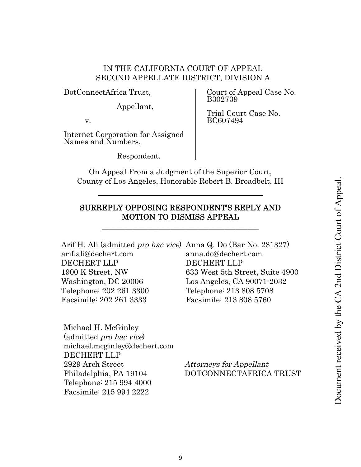# IN THE CALIFORNIA COURT OF APPEAL SECOND APPELLATE DISTRICT, DIVISION A

DotConnectAfrica Trust,

Appellant,

v.

Internet Corporation for Assigned Names and Numbers,

Respondent.

Court of Appeal Case No. B302739

Trial Court Case No. BC607494

On Appeal From a Judgment of the Superior Court, County of Los Angeles, Honorable Robert B. Broadbelt, III

# SURREPLY OPPOSING RESPONDENT'S REPLY AND MOTION TO DISMISS APPEAL

\_\_\_\_\_\_\_\_\_\_\_\_\_\_\_\_\_\_\_\_\_\_\_\_\_\_\_\_\_\_\_\_\_\_\_\_\_\_\_\_\_

| Arif H. Ali (admitted <i>pro hac vice</i> ) Anna Q. Do (Bar No. 281327) |                                 |
|-------------------------------------------------------------------------|---------------------------------|
| arif.ali@dechert.com                                                    | anna.do@dechert.com             |
| <b>DECHERT LLP</b>                                                      | <b>DECHERT LLP</b>              |
| 1900 K Street, NW                                                       | 633 West 5th Street, Suite 4900 |
| Washington, DC 20006                                                    | Los Angeles, CA 90071-2032      |
| Telephone: 202 261 3300                                                 | Telephone: 213 808 5708         |
| Facsimile: 202 261 3333                                                 | Facsimile: 213 808 5760         |
|                                                                         |                                 |

Michael H. McGinley (admitted pro hac vice) michael.mcginley@dechert.com DECHERT LLP 2929 Arch Street Attorneys for Appellant Telephone: 215 994 4000 Facsimile: 215 994 2222

Philadelphia, PA 19104 DOTCONNECTAFRICA TRUST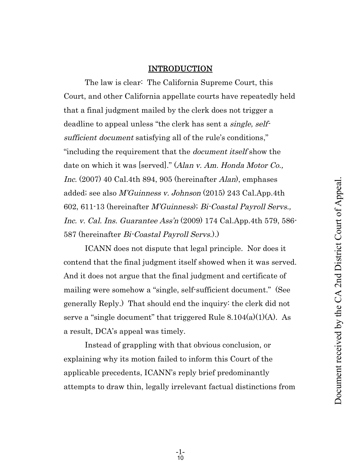### INTRODUCTION

The law is clear: The California Supreme Court, this Court, and other California appellate courts have repeatedly held that a final judgment mailed by the clerk does not trigger a deadline to appeal unless "the clerk has sent a *single*, selfsufficient document satisfying all of the rule's conditions," "including the requirement that the document itself show the date on which it was [served]." (Alan v. Am. Honda Motor Co., Inc. (2007) 40 Cal.4th 894, 905 (hereinafter Alan), emphases added; see also M'Guinness v. Johnson (2015) 243 Cal.App.4th 602, 611-13 (hereinafter M'Guinness); Bi-Coastal Payroll Servs., Inc. v. Cal. Ins. Guarantee Ass'n (2009) 174 Cal.App.4th 579, 586- 587 (hereinafter Bi-Coastal Payroll Servs.).)

ICANN does not dispute that legal principle. Nor does it contend that the final judgment itself showed when it was served. And it does not argue that the final judgment and certificate of mailing were somehow a "single, self-sufficient document." (See generally Reply.) That should end the inquiry: the clerk did not serve a "single document" that triggered Rule 8.104(a)(1)(A). As a result, DCA's appeal was timely.

Instead of grappling with that obvious conclusion, or explaining why its motion failed to inform this Court of the applicable precedents, ICANN's reply brief predominantly attempts to draw thin, legally irrelevant factual distinctions from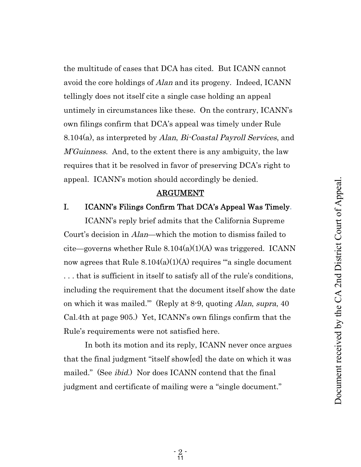the multitude of cases that DCA has cited. But ICANN cannot avoid the core holdings of Alan and its progeny. Indeed, ICANN tellingly does not itself cite a single case holding an appeal untimely in circumstances like these. On the contrary, ICANN's own filings confirm that DCA's appeal was timely under Rule 8.104(a), as interpreted by Alan, Bi-Coastal Payroll Services, and *M'Guinness.* And, to the extent there is any ambiguity, the law requires that it be resolved in favor of preserving DCA's right to appeal. ICANN's motion should accordingly be denied.

#### ARGUMENT

### I. ICANN's Filings Confirm That DCA's Appeal Was Timely.

ICANN's reply brief admits that the California Supreme Court's decision in Alan—which the motion to dismiss failed to cite—governs whether Rule  $8.104(a)(1)(A)$  was triggered. ICANN now agrees that Rule  $8.104(a)(1)(A)$  requires "a single document . . . that is sufficient in itself to satisfy all of the rule's conditions, including the requirement that the document itself show the date on which it was mailed.'" (Reply at 8-9, quoting Alan, supra, 40 Cal.4th at page 905.) Yet, ICANN's own filings confirm that the Rule's requirements were not satisfied here.

In both its motion and its reply, ICANN never once argues that the final judgment "itself show[ed] the date on which it was mailed." (See *ibid.*) Nor does ICANN contend that the final judgment and certificate of mailing were a "single document."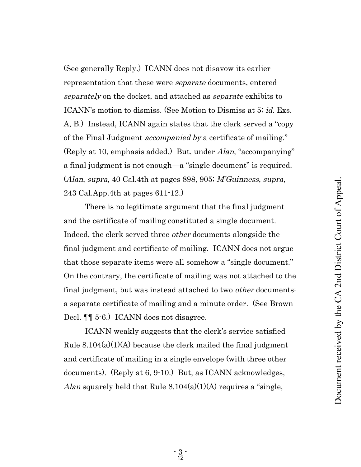(See generally Reply.) ICANN does not disavow its earlier representation that these were separate documents, entered separately on the docket, and attached as separate exhibits to ICANN's motion to dismiss. (See Motion to Dismiss at 5; *id.* Exs. A, B.) Instead, ICANN again states that the clerk served a "copy of the Final Judgment accompanied by a certificate of mailing." (Reply at 10, emphasis added.) But, under Alan, "accompanying" a final judgment is not enough—a "single document" is required. (Alan, supra, 40 Cal.4th at pages 898, 905; M'Guinness, supra, 243 Cal.App.4th at pages 611-12.)

There is no legitimate argument that the final judgment and the certificate of mailing constituted a single document. Indeed, the clerk served three other documents alongside the final judgment and certificate of mailing. ICANN does not argue that those separate items were all somehow a "single document." On the contrary, the certificate of mailing was not attached to the final judgment, but was instead attached to two *other* documents: a separate certificate of mailing and a minute order. (See Brown Decl. ¶¶ 5-6.) ICANN does not disagree.

ICANN weakly suggests that the clerk's service satisfied Rule  $8.104(a)(1)(A)$  because the clerk mailed the final judgment and certificate of mailing in a single envelope (with three other documents). (Reply at 6, 9-10.) But, as ICANN acknowledges, Alan squarely held that Rule  $8.104(a)(1)(A)$  requires a "single,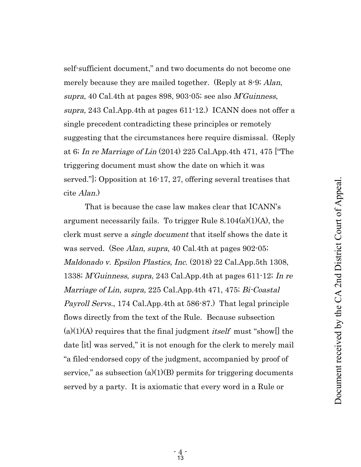Document received by the CA 2nd District Court of Appeal.Document received by the CA 2nd District Court of Appeal

self-sufficient document," and two documents do not become one merely because they are mailed together. (Reply at 8-9; *Alan*, supra, 40 Cal.4th at pages 898, 903-05; see also M'Guinness, supra, 243 Cal.App.4th at pages 611-12.) ICANN does not offer a single precedent contradicting these principles or remotely suggesting that the circumstances here require dismissal. (Reply at 6; In re Marriage of Lin (2014) 225 Cal.App.4th 471, 475 ["The triggering document must show the date on which it was served."]; Opposition at 16-17, 27, offering several treatises that cite Alan.)

That is because the case law makes clear that ICANN's argument necessarily fails. To trigger Rule  $8.104(a)(1)(A)$ , the clerk must serve a single document that itself shows the date it was served. (See *Alan, supra,* 40 Cal.4th at pages 902-05; Maldonado v. Epsilon Plastics, Inc. (2018) 22 Cal.App.5th 1308, 1338; M'Guinness, supra, 243 Cal.App.4th at pages 611-12; In re Marriage of Lin, supra, 225 Cal.App.4th 471, 475; Bi-Coastal Payroll Servs., 174 Cal.App.4th at 586-87.) That legal principle flows directly from the text of the Rule. Because subsection  $(a)(1)(A)$  requires that the final judgment *itself* must "show[] the date [it] was served," it is not enough for the clerk to merely mail "a filed-endorsed copy of the judgment, accompanied by proof of service," as subsection  $(a)(1)(B)$  permits for triggering documents served by a party. It is axiomatic that every word in a Rule or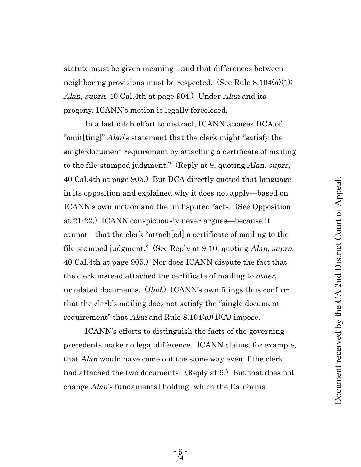statute must be given meaning—and that differences between neighboring provisions must be respected. (See Rule  $8.104(a)(1)$ ; Alan, supra, 40 Cal.4th at page 904.) Under Alan and its progeny, ICANN's motion is legally foreclosed.

In a last ditch effort to distract, ICANN accuses DCA of "omit[ting]" *Alan*'s statement that the clerk might "satisfy the single-document requirement by attaching a certificate of mailing to the file-stamped judgment." (Reply at 9, quoting *Alan, supra,* 40 Cal.4th at page 905.) But DCA directly quoted that language in its opposition and explained why it does not apply—based on ICANN's own motion and the undisputed facts. (See Opposition at 21-22.) ICANN conspicuously never argues—because it cannot—that the clerk "attach[ed] a certificate of mailing to the file-stamped judgment." (See Reply at 9-10, quoting Alan, supra, 40 Cal.4th at page 905.) Nor does ICANN dispute the fact that the clerk instead attached the certificate of mailing to other, unrelated documents. (Ibid.) ICANN's own filings thus confirm that the clerk's mailing does not satisfy the "single document requirement" that *Alan* and Rule  $8.104(a)(1)(A)$  impose.

ICANN's efforts to distinguish the facts of the governing precedents make no legal difference. ICANN claims, for example, that Alan would have come out the same way even if the clerk had attached the two documents. (Reply at 9.) But that does not change Alan's fundamental holding, which the California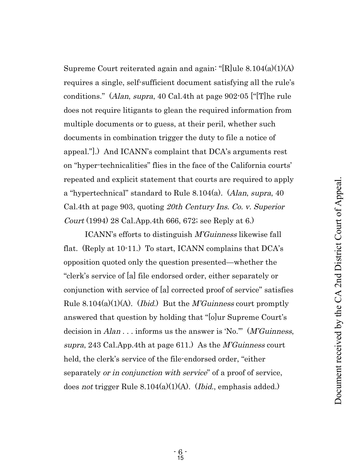Supreme Court reiterated again and again: "[R]ule  $8.104(a)(1)(A)$ requires a single, self-sufficient document satisfying all the rule's conditions." (Alan, supra, 40 Cal.4th at page 902-05 ["[T]he rule does not require litigants to glean the required information from multiple documents or to guess, at their peril, whether such documents in combination trigger the duty to file a notice of appeal."].) And ICANN's complaint that DCA's arguments rest on "hyper-technicalities" flies in the face of the California courts' repeated and explicit statement that courts are required to apply a "hypertechnical" standard to Rule 8.104(a). (Alan, supra, 40 Cal.4th at page 903, quoting 20th Century Ins. Co. v. Superior Court (1994) 28 Cal.App.4th 666, 672; see Reply at 6.)

ICANN's efforts to distinguish M'Guinness likewise fall flat. (Reply at 10-11.) To start, ICANN complains that DCA's opposition quoted only the question presented—whether the "clerk's service of [a] file endorsed order, either separately or conjunction with service of [a] corrected proof of service" satisfies Rule 8.104(a)(1)(A). (*Ibid.*) But the *M'Guinness* court promptly answered that question by holding that "[o]ur Supreme Court's decision in  $Alan$ ... informs us the answer is 'No."" (*M'Guinness*, supra, 243 Cal.App.4th at page 611.) As the M'Guinness court held, the clerk's service of the file-endorsed order, "either separately *or in conjunction with service*" of a proof of service, does not trigger Rule 8.104(a)(1)(A). (Ibid., emphasis added.)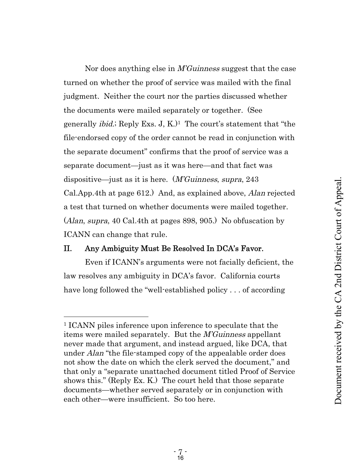Nor does anything else in M'Guinness suggest that the case turned on whether the proof of service was mailed with the final judgment. Neither the court nor the parties discussed whether the documents were mailed separately or together. (See generally *ibid.*; Reply Exs. J, K. $)$ <sup>1</sup> The court's statement that "the file-endorsed copy of the order cannot be read in conjunction with the separate document" confirms that the proof of service was a separate document—just as it was here—and that fact was dispositive—just as it is here. (M'Guinness, supra, 243 Cal.App.4th at page 612.) And, as explained above, Alan rejected a test that turned on whether documents were mailed together. (Alan, supra, 40 Cal.4th at pages 898, 905.) No obfuscation by ICANN can change that rule.

## II. Any Ambiguity Must Be Resolved In DCA's Favor.

Even if ICANN's arguments were not facially deficient, the law resolves any ambiguity in DCA's favor. California courts have long followed the "well-established policy . . . of according

<sup>1</sup> ICANN piles inference upon inference to speculate that the items were mailed separately. But the M'Guinness appellant never made that argument, and instead argued, like DCA, that under *Alan* "the file-stamped copy of the appealable order does not show the date on which the clerk served the document," and that only a "separate unattached document titled Proof of Service shows this." (Reply Ex. K.) The court held that those separate documents—whether served separately or in conjunction with each other—were insufficient. So too here.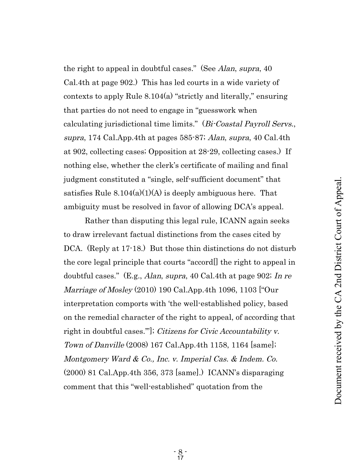the right to appeal in doubtful cases." (See *Alan*, *supra*, 40 Cal.4th at page 902.) This has led courts in a wide variety of contexts to apply Rule 8.104(a) "strictly and literally," ensuring that parties do not need to engage in "guesswork when calculating jurisdictional time limits." (Bi-Coastal Payroll Servs., supra, 174 Cal.App.4th at pages 585-87; Alan, supra, 40 Cal.4th at 902, collecting cases; Opposition at 28-29, collecting cases.) If nothing else, whether the clerk's certificate of mailing and final judgment constituted a "single, self-sufficient document" that satisfies Rule  $8.104(a)(1)(A)$  is deeply ambiguous here. That ambiguity must be resolved in favor of allowing DCA's appeal.

Rather than disputing this legal rule, ICANN again seeks to draw irrelevant factual distinctions from the cases cited by DCA. (Reply at 17-18.) But those thin distinctions do not disturb the core legal principle that courts "accord[] the right to appeal in doubtful cases." (E.g., Alan, supra, 40 Cal.4th at page 902; In re Marriage of Mosley (2010) 190 Cal.App.4th 1096, 1103 ["Our interpretation comports with 'the well-established policy, based on the remedial character of the right to appeal, of according that right in doubtful cases."']; *Citizens for Civic Accountability v.* Town of Danville (2008) 167 Cal.App.4th 1158, 1164 [same]; Montgomery Ward & Co., Inc. v. Imperial Cas. & Indem. Co. (2000) 81 Cal.App.4th 356, 373 [same].) ICANN's disparaging comment that this "well-established" quotation from the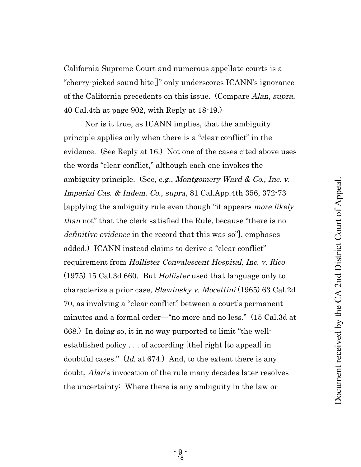California Supreme Court and numerous appellate courts is a "cherry-picked sound bite[]" only underscores ICANN's ignorance of the California precedents on this issue. (Compare Alan, supra, 40 Cal.4th at page 902, with Reply at 18-19.)

Nor is it true, as ICANN implies, that the ambiguity principle applies only when there is a "clear conflict" in the evidence. (See Reply at 16.) Not one of the cases cited above uses the words "clear conflict," although each one invokes the ambiguity principle. (See, e.g., *Montgomery Ward & Co., Inc. v.* Imperial Cas. & Indem. Co., supra, 81 Cal.App.4th 356, 372-73 [applying the ambiguity rule even though "it appears more likely than not" that the clerk satisfied the Rule, because "there is no definitive evidence in the record that this was so", emphases added.) ICANN instead claims to derive a "clear conflict" requirement from Hollister Convalescent Hospital, Inc. v. Rico (1975) 15 Cal.3d 660. But Hollister used that language only to characterize a prior case, Slawinsky v. Mocettini (1965) 63 Cal.2d 70, as involving a "clear conflict" between a court's permanent minutes and a formal order—"no more and no less." (15 Cal.3d at 668.) In doing so, it in no way purported to limit "the wellestablished policy . . . of according [the] right [to appeal] in doubtful cases." (Id. at 674.) And, to the extent there is any doubt, *Alan's* invocation of the rule many decades later resolves the uncertainty: Where there is any ambiguity in the law or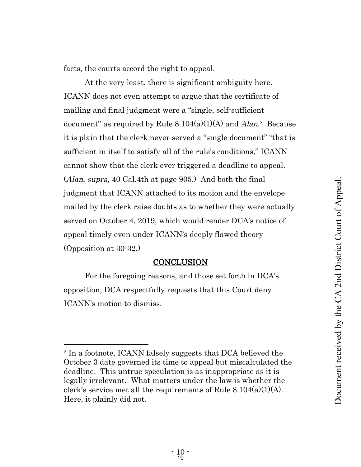facts, the courts accord the right to appeal.

At the very least, there is significant ambiguity here. ICANN does not even attempt to argue that the certificate of mailing and final judgment were a "single, self-sufficient document" as required by Rule  $8.104(a)(1)(A)$  and  $Alan^2$  Because it is plain that the clerk never served a "single document" "that is sufficient in itself to satisfy all of the rule's conditions," ICANN cannot show that the clerk ever triggered a deadline to appeal. (Alan, supra, 40 Cal.4th at page 905.) And both the final judgment that ICANN attached to its motion and the envelope mailed by the clerk raise doubts as to whether they were actually served on October 4, 2019, which would render DCA's notice of appeal timely even under ICANN's deeply flawed theory (Opposition at 30-32.)

## **CONCLUSION**

For the foregoing reasons, and those set forth in DCA's opposition, DCA respectfully requests that this Court deny ICANN's motion to dismiss.

<sup>2</sup> In a footnote, ICANN falsely suggests that DCA believed the October 3 date governed its time to appeal but miscalculated the deadline. This untrue speculation is as inappropriate as it is legally irrelevant. What matters under the law is whether the clerk's service met all the requirements of Rule 8.104(a)(1)(A). Here, it plainly did not.